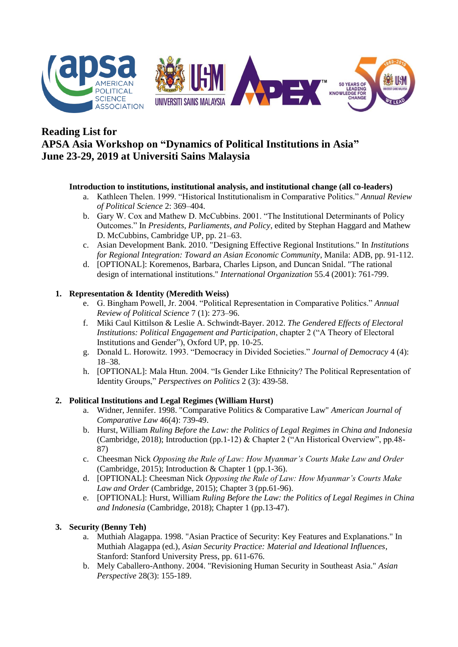

# **Reading List for APSA Asia Workshop on "Dynamics of Political Institutions in Asia" June 23-29, 2019 at Universiti Sains Malaysia**

### **Introduction to institutions, institutional analysis, and institutional change (all co-leaders)**

- a. Kathleen Thelen. 1999. "Historical Institutionalism in Comparative Politics." *Annual Review of Political Science* 2: 369–404.
- b. Gary W. Cox and Mathew D. McCubbins. 2001. "The Institutional Determinants of Policy Outcomes." In *Presidents, Parliaments, and Policy*, edited by Stephan Haggard and Mathew D. McCubbins, Cambridge UP, pp. 21–63.
- c. Asian Development Bank. 2010. "Designing Effective Regional Institutions." In *Institutions for Regional Integration: Toward an Asian Economic Community*, Manila: ADB, pp. 91-112.
- d. [OPTIONAL]: Koremenos, Barbara, Charles Lipson, and Duncan Snidal. "The rational design of international institutions." *International Organization* 55.4 (2001): 761-799.

## **1. Representation & Identity (Meredith Weiss)**

- e. G. Bingham Powell, Jr. 2004. "Political Representation in Comparative Politics." *Annual Review of Political Science* 7 (1): 273–96.
- f. Miki Caul Kittilson & Leslie A. Schwindt-Bayer. 2012. *The Gendered Effects of Electoral Institutions: Political Engagement and Participation*, chapter 2 ("A Theory of Electoral Institutions and Gender"), Oxford UP, pp. 10-25.
- g. Donald L. Horowitz. 1993. "Democracy in Divided Societies." *Journal of Democracy* 4 (4): 18–38.
- h. [OPTIONAL]: Mala Htun. 2004. "Is Gender Like Ethnicity? The Political Representation of Identity Groups," *Perspectives on Politics* 2 (3): 439-58.

### **2. Political Institutions and Legal Regimes (William Hurst)**

- a. Widner, Jennifer. 1998. "Comparative Politics & Comparative Law" *American Journal of Comparative Law* 46(4): 739-49.
- b. Hurst, William *Ruling Before the Law: the Politics of Legal Regimes in China and Indonesia* (Cambridge, 2018); Introduction (pp.1-12) & Chapter 2 ("An Historical Overview", pp.48- 87)
- c. Cheesman Nick *Opposing the Rule of Law: How Myanmar's Courts Make Law and Order* (Cambridge, 2015); Introduction & Chapter 1 (pp.1-36).
- d. [OPTIONAL]: Cheesman Nick *Opposing the Rule of Law: How Myanmar's Courts Make Law and Order* (Cambridge, 2015); Chapter 3 (pp.61-96).
- e. [OPTIONAL]: Hurst, William *Ruling Before the Law: the Politics of Legal Regimes in China and Indonesia* (Cambridge, 2018); Chapter 1 (pp.13-47).

### **3. Security (Benny Teh)**

- a. Muthiah Alagappa. 1998. "Asian Practice of Security: Key Features and Explanations." In Muthiah Alagappa (ed.), *Asian Security Practice: Material and Ideational Influences*, Stanford: Stanford University Press, pp. 611-676.
- b. Mely Caballero-Anthony. 2004. "Revisioning Human Security in Southeast Asia." *Asian Perspective* 28(3): 155-189.